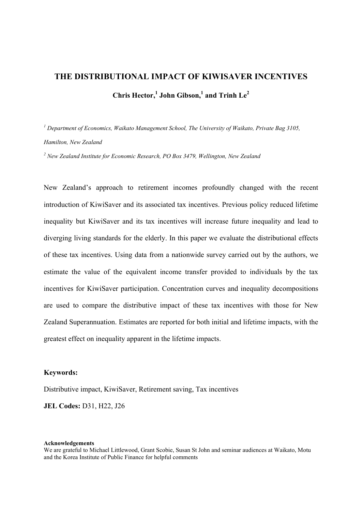# **THE DISTRIBUTIONAL IMPACT OF KIWISAVER INCENTIVES Chris Hector, 1 John Gibson, 1 and Trinh Le<sup>2</sup>**

*<sup>1</sup> Department of Economics, Waikato Management School, The University of Waikato, Private Bag 3105, Hamilton, New Zealand*

*2 New Zealand Institute for Economic Research, PO Box 3479, Wellington, New Zealand*

New Zealand's approach to retirement incomes profoundly changed with the recent introduction of KiwiSaver and its associated tax incentives. Previous policy reduced lifetime inequality but KiwiSaver and its tax incentives will increase future inequality and lead to diverging living standards for the elderly. In this paper we evaluate the distributional effects of these tax incentives. Using data from a nationwide survey carried out by the authors, we estimate the value of the equivalent income transfer provided to individuals by the tax incentives for KiwiSaver participation. Concentration curves and inequality decompositions are used to compare the distributive impact of these tax incentives with those for New Zealand Superannuation. Estimates are reported for both initial and lifetime impacts, with the greatest effect on inequality apparent in the lifetime impacts.

# **Keywords:**

Distributive impact, KiwiSaver, Retirement saving, Tax incentives

**JEL Codes:** D31, H22, J26

#### **Acknowledgements**

We are grateful to Michael Littlewood, Grant Scobie, Susan St John and seminar audiences at Waikato, Motu and the Korea Institute of Public Finance for helpful comments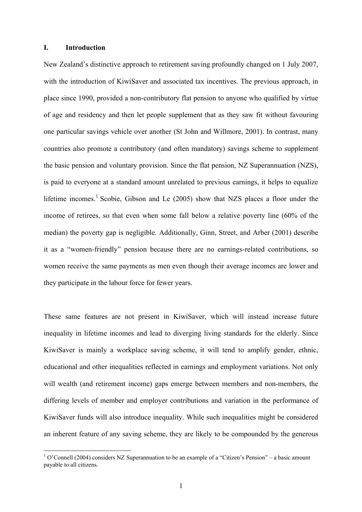#### **I. Introduction**

 $\overline{a}$ 

New Zealand's distinctive approach to retirement saving profoundly changed on 1 July 2007, with the introduction of KiwiSaver and associated tax incentives. The previous approach, in place since 1990, provided a non-contributory flat pension to anyone who qualified by virtue of age and residency and then let people supplement that as they saw fit without favouring one particular savings vehicle over another (St John and Willmore, 2001). In contrast, many countries also promote a contributory (and often mandatory) savings scheme to supplement the basic pension and voluntary provision. Since the flat pension, NZ Superannuation (NZS), is paid to everyone at a standard amount unrelated to previous earnings, it helps to equalize lifetime incomes.<sup>1</sup> Scobie, Gibson and Le  $(2005)$  show that NZS places a floor under the income of retirees, so that even when some fall below a relative poverty line (60% of the median) the poverty gap is negligible. Additionally, Ginn, Street, and Arber (2001) describe it as a "women-friendly" pension because there are no earnings-related contributions, so women receive the same payments as men even though their average incomes are lower and they participate in the labour force for fewer years.

These same features are not present in KiwiSaver, which will instead increase future inequality in lifetime incomes and lead to diverging living standards for the elderly. Since KiwiSaver is mainly a workplace saving scheme, it will tend to amplify gender, ethnic, educational and other inequalities reflected in earnings and employment variations. Not only will wealth (and retirement income) gaps emerge between members and non-members, the differing levels of member and employer contributions and variation in the performance of KiwiSaver funds will also introduce inequality. While such inequalities might be considered an inherent feature of any saving scheme, they are likely to be compounded by the generous

 $1$  O'Connell (2004) considers NZ Superannuation to be an example of a "Citizen's Pension" – a basic amount payable to all citizens.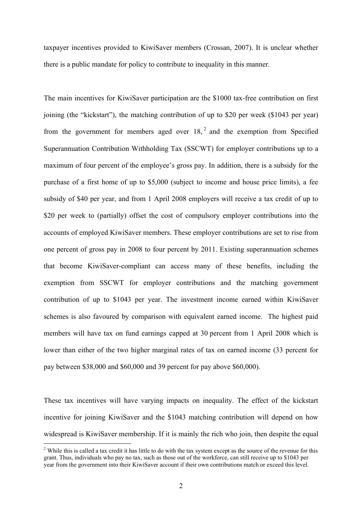taxpayer incentives provided to KiwiSaver members (Crossan, 2007). It is unclear whether there is a public mandate for policy to contribute to inequality in this manner.

The main incentives for KiwiSaver participation are the \$1000 tax-free contribution on first joining (the "kickstart"), the matching contribution of up to \$20 per week (\$1043 per year) from the government for members aged over  $18$ ,  $2$  and the exemption from Specified Superannuation Contribution Withholding Tax (SSCWT) for employer contributions up to a maximum of four percent of the employee's gross pay. In addition, there is a subsidy for the purchase of a first home of up to \$5,000 (subject to income and house price limits), a fee subsidy of \$40 per year, and from 1 April 2008 employers will receive a tax credit of up to \$20 per week to (partially) offset the cost of compulsory employer contributions into the accounts of employed KiwiSaver members. These employer contributions are set to rise from one percent of gross pay in 2008 to four percent by 2011. Existing superannuation schemes that become KiwiSaver-compliant can access many of these benefits, including the exemption from SSCWT for employer contributions and the matching government contribution of up to \$1043 per year. The investment income earned within KiwiSaver schemes is also favoured by comparison with equivalent earned income. The highest paid members will have tax on fund earnings capped at 30 percent from 1 April 2008 which is lower than either of the two higher marginal rates of tax on earned income (33 percent for pay between \$38,000 and \$60,000 and 39 percent for pay above \$60,000).

These tax incentives will have varying impacts on inequality. The effect of the kickstart incentive for joining KiwiSaver and the \$1043 matching contribution will depend on how widespread is KiwiSaver membership. If it is mainly the rich who join, then despite the equal

 $2^2$  While this is called a tax credit it has little to do with the tax system except as the source of the revenue for this grant. Thus, individuals who pay no tax, such as those out of the workforce, can still receive up to \$1043 per year from the government into their KiwiSaver account if their own contributions match or exceed this level.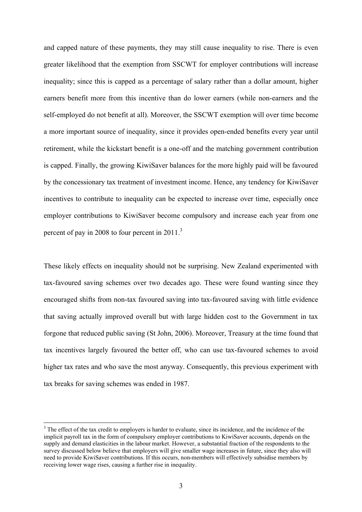and capped nature of these payments, they may still cause inequality to rise. There is even greater likelihood that the exemption from SSCWT for employer contributions will increase inequality; since this is capped as a percentage of salary rather than a dollar amount, higher earners benefit more from this incentive than do lower earners (while non-earners and the self-employed do not benefit at all). Moreover, the SSCWT exemption will over time become a more important source of inequality, since it provides open-ended benefits every year until retirement, while the kickstart benefit is a one-off and the matching government contribution is capped. Finally, the growing KiwiSaver balances for the more highly paid will be favoured by the concessionary tax treatment of investment income. Hence, any tendency for KiwiSaver incentives to contribute to inequality can be expected to increase over time, especially once employer contributions to KiwiSaver become compulsory and increase each year from one percent of pay in 2008 to four percent in 2011.<sup>3</sup>

These likely effects on inequality should not be surprising. New Zealand experimented with tax-favoured saving schemes over two decades ago. These were found wanting since they encouraged shifts from non-tax favoured saving into tax-favoured saving with little evidence that saving actually improved overall but with large hidden cost to the Government in tax forgone that reduced public saving (St John, 2006). Moreover, Treasury at the time found that tax incentives largely favoured the better off, who can use tax-favoured schemes to avoid higher tax rates and who save the most anyway. Consequently, this previous experiment with tax breaks for saving schemes was ended in 1987.

 $3$  The effect of the tax credit to employers is harder to evaluate, since its incidence, and the incidence of the implicit payroll tax in the form of compulsory employer contributions to KiwiSaver accounts, depends on the supply and demand elasticities in the labour market. However, a substantial fraction of the respondents to the survey discussed below believe that employers will give smaller wage increases in future, since they also will need to provide KiwiSaver contributions. If this occurs, non-members will effectively subsidise members by receiving lower wage rises, causing a further rise in inequality.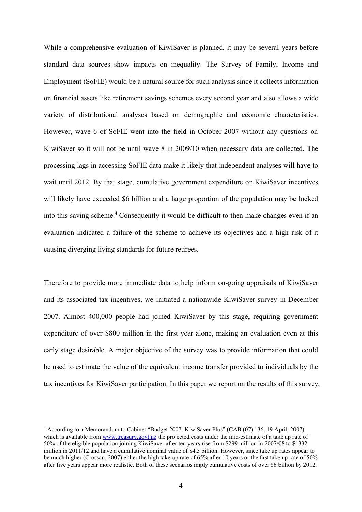While a comprehensive evaluation of KiwiSaver is planned, it may be several years before standard data sources show impacts on inequality. The Survey of Family, Income and Employment (SoFIE) would be a natural source for such analysis since it collects information on financial assets like retirement savings schemes every second year and also allows a wide variety of distributional analyses based on demographic and economic characteristics. However, wave 6 of SoFIE went into the field in October 2007 without any questions on KiwiSaver so it will not be until wave 8 in 2009/10 when necessary data are collected. The processing lags in accessing SoFIE data make it likely that independent analyses will have to wait until 2012. By that stage, cumulative government expenditure on KiwiSaver incentives will likely have exceeded \$6 billion and a large proportion of the population may be locked into this saving scheme.<sup>4</sup> Consequently it would be difficult to then make changes even if an evaluation indicated a failure of the scheme to achieve its objectives and a high risk of it causing diverging living standards for future retirees.

Therefore to provide more immediate data to help inform on-going appraisals of KiwiSaver and its associated tax incentives, we initiated a nationwide KiwiSaver survey in December 2007. Almost 400,000 people had joined KiwiSaver by this stage, requiring government expenditure of over \$800 million in the first year alone, making an evaluation even at this early stage desirable. A major objective of the survey was to provide information that could be used to estimate the value of the equivalent income transfer provided to individuals by the tax incentives for KiwiSaver participation. In this paper we report on the results of this survey,

<sup>&</sup>lt;sup>4</sup> According to a Memorandum to Cabinet "Budget 2007: KiwiSaver Plus" (CAB (07) 136, 19 April, 2007) which is available from www.treasury.govt.nz the projected costs under the mid-estimate of a take up rate of 50% of the eligible population joining KiwiSaver after ten years rise from \$299 million in 2007/08 to \$1332 million in 2011/12 and have a cumulative nominal value of \$4.5 billion. However, since take up rates appear to be much higher (Crossan, 2007) either the high take-up rate of 65% after 10 years or the fast take up rate of 50% after five years appear more realistic. Both of these scenarios imply cumulative costs of over \$6 billion by 2012.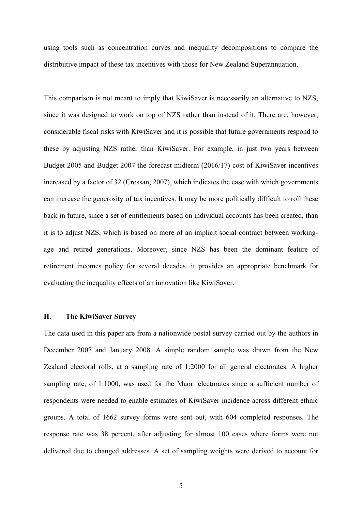using tools such as concentration curves and inequality decompositions to compare the distributive impact of these tax incentives with those for New Zealand Superannuation.

This comparison is not meant to imply that KiwiSaver is necessarily an alternative to NZS, since it was designed to work on top of NZS rather than instead of it. There are, however, considerable fiscal risks with KiwiSaver and it is possible that future governments respond to these by adjusting NZS rather than KiwiSaver. For example, in just two years between Budget 2005 and Budget 2007 the forecast midterm (2016/17) cost of KiwiSaver incentives increased by a factor of 32 (Crossan, 2007), which indicates the ease with which governments can increase the generosity of tax incentives. It may be more politically difficult to roll these back in future, since a set of entitlements based on individual accounts has been created, than it is to adjust NZS, which is based on more of an implicit social contract between workingage and retired generations. Moreover, since NZS has been the dominant feature of retirement incomes policy for several decades, it provides an appropriate benchmark for evaluating the inequality effects of an innovation like KiwiSaver.

# **II. The KiwiSaver Survey**

The data used in this paper are from a nationwide postal survey carried out by the authors in December 2007 and January 2008. A simple random sample was drawn from the New Zealand electoral rolls, at a sampling rate of 1:2000 for all general electorates. A higher sampling rate, of 1:1000, was used for the Maori electorates since a sufficient number of respondents were needed to enable estimates of KiwiSaver incidence across different ethnic groups. A total of 1662 survey forms were sent out, with 604 completed responses. The response rate was 38 percent, after adjusting for almost 100 cases where forms were not delivered due to changed addresses. A set of sampling weights were derived to account for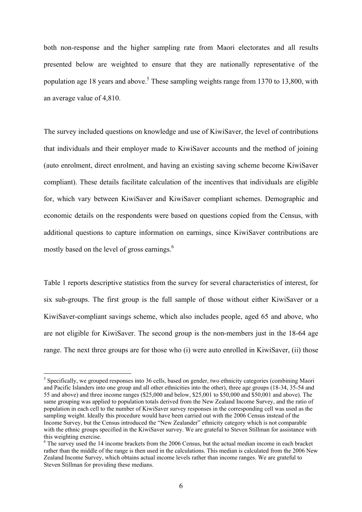both non-response and the higher sampling rate from Maori electorates and all results presented below are weighted to ensure that they are nationally representative of the population age 18 years and above.<sup>5</sup> These sampling weights range from 1370 to 13,800, with an average value of 4,810.

The survey included questions on knowledge and use of KiwiSaver, the level of contributions that individuals and their employer made to KiwiSaver accounts and the method of joining (auto enrolment, direct enrolment, and having an existing saving scheme become KiwiSaver compliant). These details facilitate calculation of the incentives that individuals are eligible for, which vary between KiwiSaver and KiwiSaver compliant schemes. Demographic and economic details on the respondents were based on questions copied from the Census, with additional questions to capture information on earnings, since KiwiSaver contributions are mostly based on the level of gross earnings.<sup>6</sup>

Table 1 reports descriptive statistics from the survey for several characteristics of interest, for six sub-groups. The first group is the full sample of those without either KiwiSaver or a KiwiSaver-compliant savings scheme, which also includes people, aged 65 and above, who are not eligible for KiwiSaver. The second group is the non-members just in the 18-64 age range. The next three groups are for those who (i) were auto enrolled in KiwiSaver, (ii) those

<sup>&</sup>lt;sup>5</sup> Specifically, we grouped responses into 36 cells, based on gender, two ethnicity categories (combining Maori and Pacific Islanders into one group and all other ethnicities into the other), three age groups (18-34, 35-54 and 55 and above) and three income ranges (\$25,000 and below, \$25,001 to \$50,000 and \$50,001 and above). The same grouping was applied to population totals derived from the New Zealand Income Survey, and the ratio of population in each cell to the number of KiwiSaver survey responses in the corresponding cell was used as the sampling weight. Ideally this procedure would have been carried out with the 2006 Census instead of the Income Survey, but the Census introduced the "New Zealander" ethnicity category which is not comparable with the ethnic groups specified in the KiwiSaver survey. We are grateful to Steven Stillman for assistance with this weighting exercise.

<sup>&</sup>lt;sup>6</sup> The survey used the 14 income brackets from the 2006 Census, but the actual median income in each bracket rather than the middle of the range is then used in the calculations. This median is calculated from the 2006 New Zealand Income Survey, which obtains actual income levels rather than income ranges. We are grateful to Steven Stillman for providing these medians.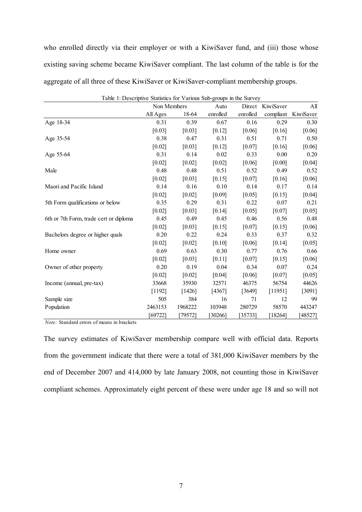who enrolled directly via their employer or with a KiwiSaver fund, and (iii) those whose existing saving scheme became KiwiSaver compliant. The last column of the table is for the aggregate of all three of these KiwiSaver or KiwiSaver-compliant membership groups.

| Table 1: Descriptive Statistics for Various Sub-groups in the Survey |             |         |          |          |           |           |  |
|----------------------------------------------------------------------|-------------|---------|----------|----------|-----------|-----------|--|
|                                                                      | Non Members |         | Auto     | Direct   | KiwiSaver | All       |  |
|                                                                      | All Ages    | 18-64   | enrolled | enrolled | compliant | KiwiSaver |  |
| Age 18-34                                                            | 0.31        | 0.39    | 0.67     | 0.16     | 0.29      | 0.30      |  |
|                                                                      | [0.03]      | [0.03]  | [0.12]   | [0.06]   | [0.16]    | [0.06]    |  |
| Age 35-54                                                            | 0.38        | 0.47    | 0.31     | 0.51     | 0.71      | 0.50      |  |
|                                                                      | [0.02]      | [0.03]  | [0.12]   | [0.07]   | [0.16]    | [0.06]    |  |
| Age 55-64                                                            | 0.31        | 0.14    | 0.02     | 0.33     | 0.00      | 0.20      |  |
|                                                                      | [0.02]      | [0.02]  | [0.02]   | [0.06]   | [0.00]    | [0.04]    |  |
| Male                                                                 | 0.48        | 0.48    | 0.51     | 0.52     | 0.49      | 0.52      |  |
|                                                                      | [0.02]      | [0.03]  | [0.15]   | [0.07]   | [0.16]    | [0.06]    |  |
| Maori and Pacific Island                                             | 0.14        | 0.16    | 0.10     | 0.14     | 0.17      | 0.14      |  |
|                                                                      | [0.02]      | [0.02]  | [0.09]   | [0.05]   | [0.15]    | [0.04]    |  |
| 5th Form qualifications or below                                     | 0.35        | 0.29    | 0.31     | 0.22     | 0.07      | 0.21      |  |
|                                                                      | [0.02]      | [0.03]  | [0.14]   | $[0.05]$ | [0.07]    | [0.05]    |  |
| 6th or 7th Form, trade cert or diploma                               | 0.45        | 0.49    | 0.45     | 0.46     | 0.56      | 0.48      |  |
|                                                                      | [0.02]      | [0.03]  | [0.15]   | [0.07]   | [0.15]    | $[0.06]$  |  |
| Bachelors degree or higher quals                                     | 0.20        | 0.22    | 0.24     | 0.33     | 0.37      | 0.32      |  |
|                                                                      | [0.02]      | [0.02]  | [0.10]   | [0.06]   | [0.14]    | [0.05]    |  |
| Home owner                                                           | 0.69        | 0.63    | 0.30     | 0.77     | 0.76      | 0.66      |  |
|                                                                      | [0.02]      | [0.03]  | [0.11]   | [0.07]   | [0.15]    | $[0.06]$  |  |
| Owner of other property                                              | 0.20        | 0.19    | 0.04     | 0.34     | 0.07      | 0.24      |  |
|                                                                      | [0.02]      | [0.02]  | [0.04]   | [0.06]   | [0.07]    | [0.05]    |  |
| Income (annual, pre-tax)                                             | 33668       | 35930   | 32571    | 46375    | 56754     | 44626     |  |
|                                                                      | [1192]      | [1426]  | [4367]   | [3649]   | [11951]   | [3091]    |  |
| Sample size                                                          | 505         | 384     | 16       | 71       | 12        | 99        |  |
| Population                                                           | 2463153     | 1968222 | 103948   | 280729   | 58570     | 443247    |  |
|                                                                      | [69722]     | [79572] | 30266    | [35733]  | [18264]   | [48527]   |  |

 $T_{\text{intrinsic}}$  Statistics for Various Sub-groups in the Survey  $T_{\text{in}}$ 

*Note:* Standard errors of means in brackets

The survey estimates of KiwiSaver membership compare well with official data. Reports from the government indicate that there were a total of 381,000 KiwiSaver members by the end of December 2007 and 414,000 by late January 2008, not counting those in KiwiSaver compliant schemes. Approximately eight percent of these were under age 18 and so will not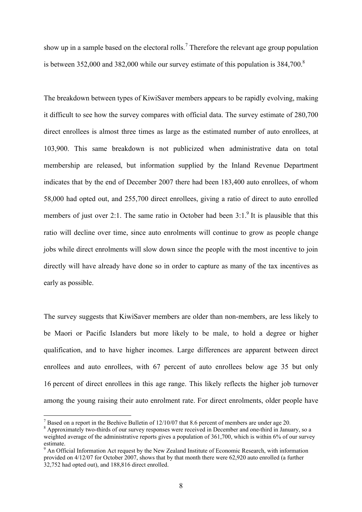show up in a sample based on the electoral rolls.<sup>7</sup> Therefore the relevant age group population is between 352,000 and 382,000 while our survey estimate of this population is  $384,700$ .<sup>8</sup>

The breakdown between types of KiwiSaver members appears to be rapidly evolving, making it difficult to see how the survey compares with official data. The survey estimate of 280,700 direct enrollees is almost three times as large as the estimated number of auto enrollees, at 103,900. This same breakdown is not publicized when administrative data on total membership are released, but information supplied by the Inland Revenue Department indicates that by the end of December 2007 there had been 183,400 auto enrollees, of whom 58,000 had opted out, and 255,700 direct enrollees, giving a ratio of direct to auto enrolled members of just over 2:1. The same ratio in October had been  $3:1.^9$  It is plausible that this ratio will decline over time, since auto enrolments will continue to grow as people change jobs while direct enrolments will slow down since the people with the most incentive to join directly will have already have done so in order to capture as many of the tax incentives as early as possible.

The survey suggests that KiwiSaver members are older than non-members, are less likely to be Maori or Pacific Islanders but more likely to be male, to hold a degree or higher qualification, and to have higher incomes. Large differences are apparent between direct enrollees and auto enrollees, with 67 percent of auto enrollees below age 35 but only 16 percent of direct enrollees in this age range. This likely reflects the higher job turnover among the young raising their auto enrolment rate. For direct enrolments, older people have

<sup>&</sup>lt;sup>7</sup> Based on a report in the Beehive Bulletin of 12/10/07 that 8.6 percent of members are under age 20.

<sup>&</sup>lt;sup>8</sup> Approximately two-thirds of our survey responses were received in December and one-third in January, so a weighted average of the administrative reports gives a population of 361,700, which is within 6% of our survey estimate.

<sup>&</sup>lt;sup>9</sup> An Official Information Act request by the New Zealand Institute of Economic Research, with information provided on 4/12/07 for October 2007, shows that by that month there were 62,920 auto enrolled (a further 32,752 had opted out), and 188,816 direct enrolled.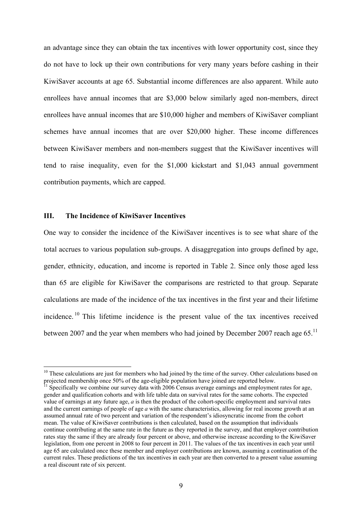an advantage since they can obtain the tax incentives with lower opportunity cost, since they do not have to lock up their own contributions for very many years before cashing in their KiwiSaver accounts at age 65. Substantial income differences are also apparent. While auto enrollees have annual incomes that are \$3,000 below similarly aged non-members, direct enrollees have annual incomes that are \$10,000 higher and members of KiwiSaver compliant schemes have annual incomes that are over \$20,000 higher. These income differences between KiwiSaver members and non-members suggest that the KiwiSaver incentives will tend to raise inequality, even for the \$1,000 kickstart and \$1,043 annual government contribution payments, which are capped.

# **III. The Incidence of KiwiSaver Incentives**

 $\overline{a}$ 

One way to consider the incidence of the KiwiSaver incentives is to see what share of the total accrues to various population sub-groups. A disaggregation into groups defined by age, gender, ethnicity, education, and income is reported in Table 2. Since only those aged less than 65 are eligible for KiwiSaver the comparisons are restricted to that group. Separate calculations are made of the incidence of the tax incentives in the first year and their lifetime incidence. <sup>10</sup> This lifetime incidence is the present value of the tax incentives received between 2007 and the year when members who had joined by December 2007 reach age 65.<sup>11</sup>

 $10$  These calculations are just for members who had joined by the time of the survey. Other calculations based on projected membership once 50% of the age-eligible population have joined are reported below.

<sup>11</sup> Specifically we combine our survey data with 2006 Census average earnings and employment rates for age, gender and qualification cohorts and with life table data on survival rates for the same cohorts. The expected value of earnings at any future age, *a* is then the product of the cohort-specific employment and survival rates and the current earnings of people of age *a* with the same characteristics, allowing for real income growth at an assumed annual rate of two percent and variation of the respondent's idiosyncratic income from the cohort mean. The value of KiwiSaver contributions is then calculated, based on the assumption that individuals continue contributing at the same rate in the future as they reported in the survey, and that employer contribution rates stay the same if they are already four percent or above, and otherwise increase according to the KiwiSaver legislation, from one percent in 2008 to four percent in 2011. The values of the tax incentives in each year until age 65 are calculated once these member and employer contributions are known, assuming a continuation of the current rules. These predictions of the tax incentives in each year are then converted to a present value assuming a real discount rate of six percent.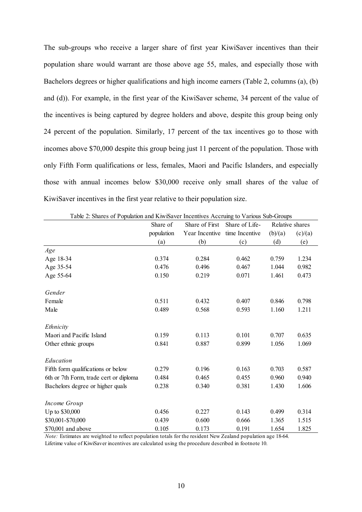The sub-groups who receive a larger share of first year KiwiSaver incentives than their population share would warrant are those above age 55, males, and especially those with Bachelors degrees or higher qualifications and high income earners (Table 2, columns (a), (b) and (d)). For example, in the first year of the KiwiSaver scheme, 34 percent of the value of the incentives is being captured by degree holders and above, despite this group being only 24 percent of the population. Similarly, 17 percent of the tax incentives go to those with incomes above \$70,000 despite this group being just 11 percent of the population. Those with only Fifth Form qualifications or less, females, Maori and Pacific Islanders, and especially those with annual incomes below \$30,000 receive only small shares of the value of KiwiSaver incentives in the first year relative to their population size.

|                                        | Share of   | Share of First | Share of Life- |         | Relative shares |
|----------------------------------------|------------|----------------|----------------|---------|-----------------|
|                                        | population | Year Incentive | time Incentive | (b)/(a) | (c)/(a)         |
|                                        | (a)        | (b)            | (c)            | (d)     | (e)             |
| Age                                    |            |                |                |         |                 |
| Age 18-34                              | 0.374      | 0.284          | 0.462          | 0.759   | 1.234           |
| Age 35-54                              | 0.476      | 0.496          | 0.467          | 1.044   | 0.982           |
| Age 55-64                              | 0.150      | 0.219          | 0.071          | 1.461   | 0.473           |
| Gender                                 |            |                |                |         |                 |
| Female                                 | 0.511      | 0.432          | 0.407          | 0.846   | 0.798           |
| Male                                   | 0.489      | 0.568          | 0.593          | 1.160   | 1.211           |
| Ethnicity                              |            |                |                |         |                 |
| Maori and Pacific Island               | 0.159      | 0.113          | 0.101          | 0.707   | 0.635           |
| Other ethnic groups                    | 0.841      | 0.887          | 0.899          | 1.056   | 1.069           |
| Education                              |            |                |                |         |                 |
| Fifth form qualifications or below     | 0.279      | 0.196          | 0.163          | 0.703   | 0.587           |
| 6th or 7th Form, trade cert or diploma | 0.484      | 0.465          | 0.455          | 0.960   | 0.940           |
| Bachelors degree or higher quals       | 0.238      | 0.340          | 0.381          | 1.430   | 1.606           |
| Income Group                           |            |                |                |         |                 |
| Up to \$30,000                         | 0.456      | 0.227          | 0.143          | 0.499   | 0.314           |
| \$30,001-\$70,000                      | 0.439      | 0.600          | 0.666          | 1.365   | 1.515           |
| \$70,001 and above                     | 0.105      | 0.173          | 0.191          | 1.654   | 1.825           |

Table 2: Shares of Population and KiwiSaver Incentives Accruing to Various Sub-Groups

*Note:* Estimates are weighted to reflect population totals for the resident New Zealand population age 18-64.

Lifetime value of KiwiSaver incentives are calculated using the procedure described in footnote 10.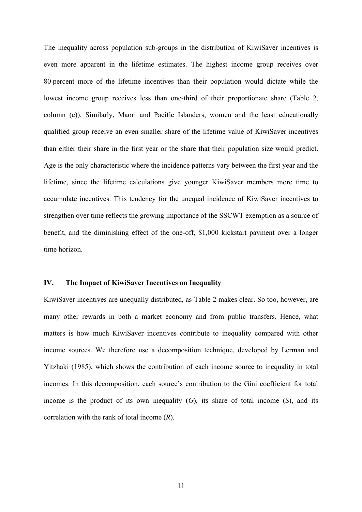The inequality across population sub-groups in the distribution of KiwiSaver incentives is even more apparent in the lifetime estimates. The highest income group receives over 80 percent more of the lifetime incentives than their population would dictate while the lowest income group receives less than one-third of their proportionate share (Table 2, column (e)). Similarly, Maori and Pacific Islanders, women and the least educationally qualified group receive an even smaller share of the lifetime value of KiwiSaver incentives than either their share in the first year or the share that their population size would predict. Age is the only characteristic where the incidence patterns vary between the first year and the lifetime, since the lifetime calculations give younger KiwiSaver members more time to accumulate incentives. This tendency for the unequal incidence of KiwiSaver incentives to strengthen over time reflects the growing importance of the SSCWT exemption as a source of benefit, and the diminishing effect of the one-off, \$1,000 kickstart payment over a longer time horizon.

### **IV. The Impact of KiwiSaver Incentives on Inequality**

KiwiSaver incentives are unequally distributed, as Table 2 makes clear. So too, however, are many other rewards in both a market economy and from public transfers. Hence, what matters is how much KiwiSaver incentives contribute to inequality compared with other income sources. We therefore use a decomposition technique, developed by Lerman and Yitzhaki (1985), which shows the contribution of each income source to inequality in total incomes. In this decomposition, each source's contribution to the Gini coefficient for total income is the product of its own inequality  $(G)$ , its share of total income  $(S)$ , and its correlation with the rank of total income (*R*).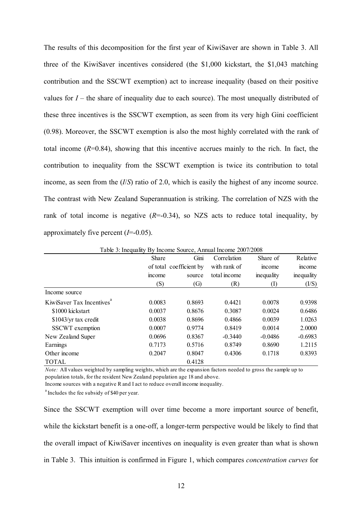The results of this decomposition for the first year of KiwiSaver are shown in Table 3. All three of the KiwiSaver incentives considered (the \$1,000 kickstart, the \$1,043 matching contribution and the SSCWT exemption) act to increase inequality (based on their positive values for  $I$  – the share of inequality due to each source). The most unequally distributed of these three incentives is the SSCWT exemption, as seen from its very high Gini coefficient (0.98). Moreover, the SSCWT exemption is also the most highly correlated with the rank of total income  $(R=0.84)$ , showing that this incentive accrues mainly to the rich. In fact, the contribution to inequality from the SSCWT exemption is twice its contribution to total income, as seen from the (*I*/*S*) ratio of 2.0, which is easily the highest of any income source. The contrast with New Zealand Superannuation is striking. The correlation of NZS with the rank of total income is negative  $(R=0.34)$ , so NZS acts to reduce total inequality, by approximately five percent (*I*=-0.05).

|                                       | Share  | Gini                    | Correlation  | Share of       | Relative   |
|---------------------------------------|--------|-------------------------|--------------|----------------|------------|
|                                       |        | of total coefficient by | with rank of | income         | income     |
|                                       | mcome  | source                  | total income | inequality     | inequality |
|                                       | (S)    | $\left( G\right)$       | (R)          | $(\mathrm{I})$ | (I/S)      |
| Income source                         |        |                         |              |                |            |
| KiwiSaver Tax Incentives <sup>"</sup> | 0.0083 | 0.8693                  | 0.4421       | 0.0078         | 0.9398     |
| \$1000 kickstart                      | 0.0037 | 0.8676                  | 0.3087       | 0.0024         | 0.6486     |
| \$1043/yr tax credit                  | 0.0038 | 0.8696                  | 0.4866       | 0.0039         | 1.0263     |
| <b>SSCWT</b> exemption                | 0.0007 | 0.9774                  | 0.8419       | 0.0014         | 2.0000     |
| New Zealand Super                     | 0.0696 | 0.8367                  | $-0.3440$    | $-0.0486$      | $-0.6983$  |
| Earnings                              | 0.7173 | 0.5716                  | 0.8749       | 0.8690         | 1.2115     |
| Other income                          | 0.2047 | 0.8047                  | 0.4306       | 0.1718         | 0.8393     |
| <b>TOTAL</b>                          |        | 0.4128                  |              |                |            |

Table 3: Inequality By Income Source, Annual Income 2007/2008

*Note:* All values weighted by sampling weights, which are the expansion factors needed to gross the sample up to population totals, for the resident New Zealand population age 18 and above.

Income sources with a negative R and I act to reduce overall income inequality.

 $a<sup>a</sup>$  Includes the fee subsidy of \$40 per year.

Since the SSCWT exemption will over time become a more important source of benefit, while the kickstart benefit is a one-off, a longer-term perspective would be likely to find that the overall impact of KiwiSaver incentives on inequality is even greater than what is shown in Table 3. This intuition is confirmed in Figure 1, which compares *concentration curves* for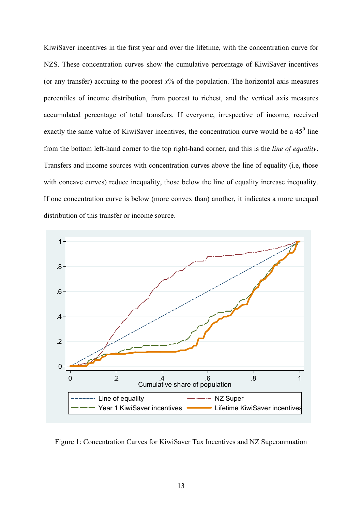KiwiSaver incentives in the first year and over the lifetime, with the concentration curve for NZS. These concentration curves show the cumulative percentage of KiwiSaver incentives (or any transfer) accruing to the poorest  $x\%$  of the population. The horizontal axis measures percentiles of income distribution, from poorest to richest, and the vertical axis measures accumulated percentage of total transfers. If everyone, irrespective of income, received exactly the same value of KiwiSaver incentives, the concentration curve would be a  $45^{\circ}$  line from the bottom left-hand corner to the top right-hand corner, and this is the *line of equality*. Transfers and income sources with concentration curves above the line of equality (i.e, those with concave curves) reduce inequality, those below the line of equality increase inequality. If one concentration curve is below (more convex than) another, it indicates a more unequal distribution of this transfer or income source.



Figure 1: Concentration Curves for KiwiSaver Tax Incentives and NZ Superannuation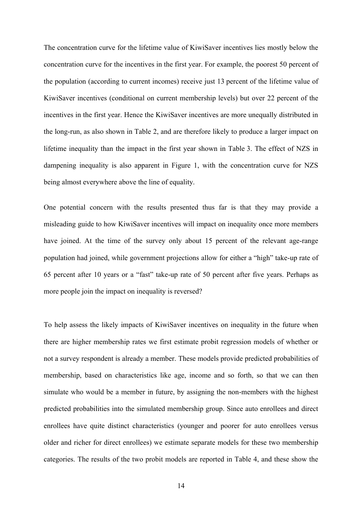The concentration curve for the lifetime value of KiwiSaver incentives lies mostly below the concentration curve for the incentives in the first year. For example, the poorest 50 percent of the population (according to current incomes) receive just 13 percent of the lifetime value of KiwiSaver incentives (conditional on current membership levels) but over 22 percent of the incentives in the first year. Hence the KiwiSaver incentives are more unequally distributed in the long-run, as also shown in Table 2, and are therefore likely to produce a larger impact on lifetime inequality than the impact in the first year shown in Table 3. The effect of NZS in dampening inequality is also apparent in Figure 1, with the concentration curve for NZS being almost everywhere above the line of equality.

One potential concern with the results presented thus far is that they may provide a misleading guide to how KiwiSaver incentives will impact on inequality once more members have joined. At the time of the survey only about 15 percent of the relevant age-range population had joined, while government projections allow for either a "high" take-up rate of 65 percent after 10 years or a "fast" take-up rate of 50 percent after five years. Perhaps as more people join the impact on inequality is reversed?

To help assess the likely impacts of KiwiSaver incentives on inequality in the future when there are higher membership rates we first estimate probit regression models of whether or not a survey respondent is already a member. These models provide predicted probabilities of membership, based on characteristics like age, income and so forth, so that we can then simulate who would be a member in future, by assigning the non-members with the highest predicted probabilities into the simulated membership group. Since auto enrollees and direct enrollees have quite distinct characteristics (younger and poorer for auto enrollees versus older and richer for direct enrollees) we estimate separate models for these two membership categories. The results of the two probit models are reported in Table 4, and these show the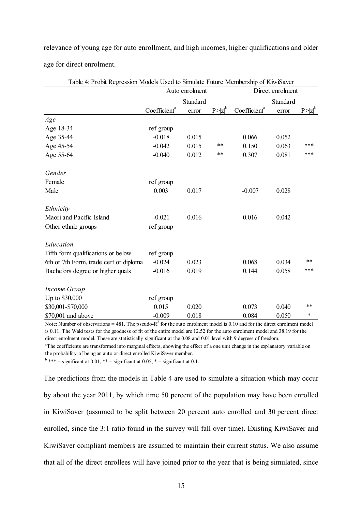relevance of young age for auto enrollment, and high incomes, higher qualifications and older age for direct enrolment.

|                                        | Auto enrolment           |       |             | Direct enrolment         |       |             |
|----------------------------------------|--------------------------|-------|-------------|--------------------------|-------|-------------|
|                                        | Standard                 |       |             | Standard                 |       |             |
|                                        | Coefficient <sup>a</sup> | error | $P> z ^{b}$ | Coefficient <sup>a</sup> | error | $P> z ^{b}$ |
| Age                                    |                          |       |             |                          |       |             |
| Age 18-34                              | ref group                |       |             |                          |       |             |
| Age 35-44                              | $-0.018$                 | 0.015 |             | 0.066                    | 0.052 |             |
| Age 45-54                              | $-0.042$                 | 0.015 | **          | 0.150                    | 0.063 | ***         |
| Age 55-64                              | $-0.040$                 | 0.012 | **          | 0.307                    | 0.081 | ***         |
| Gender                                 |                          |       |             |                          |       |             |
| Female                                 | ref group                |       |             |                          |       |             |
| Male                                   | 0.003                    | 0.017 |             | $-0.007$                 | 0.028 |             |
| Ethnicity                              |                          |       |             |                          |       |             |
| Maori and Pacific Island               | $-0.021$                 | 0.016 |             | 0.016                    | 0.042 |             |
| Other ethnic groups                    | ref group                |       |             |                          |       |             |
| Education                              |                          |       |             |                          |       |             |
| Fifth form qualifications or below     | ref group                |       |             |                          |       |             |
| 6th or 7th Form, trade cert or diploma | $-0.024$                 | 0.023 |             | 0.068                    | 0.034 | **          |
| Bachelors degree or higher quals       | $-0.016$                 | 0.019 |             | 0.144                    | 0.058 | ***         |
| Income Group                           |                          |       |             |                          |       |             |
| Up to \$30,000                         | ref group                |       |             |                          |       |             |
| \$30,001-\$70,000                      | 0.015                    | 0.020 |             | 0.073                    | 0.040 | $***$       |
| \$70,001 and above                     | $-0.009$                 | 0.018 |             | 0.084                    | 0.050 | *           |

Table 4: Probit Regression Models Used to Simulate Future Membership of KiwiSaver

Note: Number of observations = 481. The pseudo- $R^2$  for the auto enrolment model is 0.10 and for the direct enrolment model is 0.11. The Wald tests for the goodness of fit of the entire model are 12.52 for the auto enrolment model and 38.19 for the direct enrolment model. These are statistically significant at the 0.08 and 0.01 level with 9 degrees of freedom.

<sup>a</sup>The coefficients are transformed into marginal effects, showing the effect of a one unit change in the explanatory variable on the probability of being an auto or direct enrolled KiwiSaver member.

 $b*** =$  significant at 0.01, \*\* = significant at 0.05, \* = significant at 0.1.

The predictions from the models in Table 4 are used to simulate a situation which may occur by about the year 2011, by which time 50 percent of the population may have been enrolled in KiwiSaver (assumed to be split between 20 percent auto enrolled and 30 percent direct enrolled, since the 3:1 ratio found in the survey will fall over time). Existing KiwiSaver and KiwiSaver compliant members are assumed to maintain their current status. We also assume that all of the direct enrollees will have joined prior to the year that is being simulated, since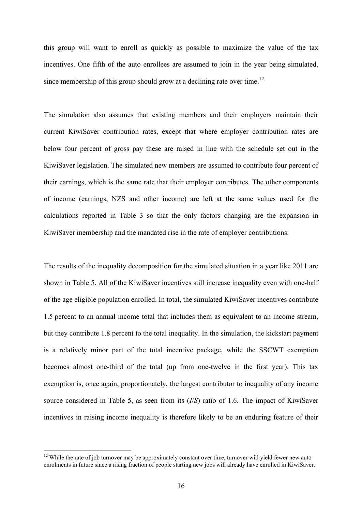this group will want to enroll as quickly as possible to maximize the value of the tax incentives. One fifth of the auto enrollees are assumed to join in the year being simulated, since membership of this group should grow at a declining rate over time.<sup>12</sup>

The simulation also assumes that existing members and their employers maintain their current KiwiSaver contribution rates, except that where employer contribution rates are below four percent of gross pay these are raised in line with the schedule set out in the KiwiSaver legislation. The simulated new members are assumed to contribute four percent of their earnings, which is the same rate that their employer contributes. The other components of income (earnings, NZS and other income) are left at the same values used for the calculations reported in Table 3 so that the only factors changing are the expansion in KiwiSaver membership and the mandated rise in the rate of employer contributions.

The results of the inequality decomposition for the simulated situation in a year like 2011 are shown in Table 5. All of the KiwiSaver incentives still increase inequality even with one-half of the age eligible population enrolled. In total, the simulated KiwiSaver incentives contribute 1.5 percent to an annual income total that includes them as equivalent to an income stream, but they contribute 1.8 percent to the total inequality. In the simulation, the kickstart payment is a relatively minor part of the total incentive package, while the SSCWT exemption becomes almost one-third of the total (up from one-twelve in the first year). This tax exemption is, once again, proportionately, the largest contributor to inequality of any income source considered in Table 5, as seen from its (*I*/*S*) ratio of 1.6. The impact of KiwiSaver incentives in raising income inequality is therefore likely to be an enduring feature of their

 $12$  While the rate of job turnover may be approximately constant over time, turnover will yield fewer new auto enrolments in future since a rising fraction of people starting new jobs will already have enrolled in KiwiSaver.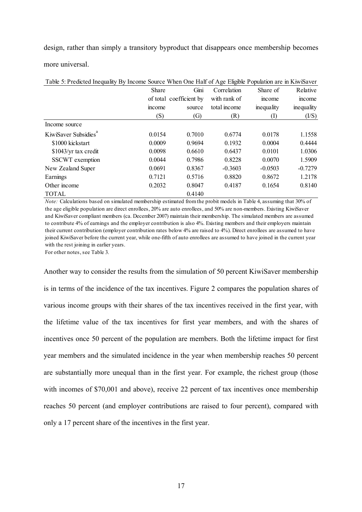design, rather than simply a transitory byproduct that disappears once membership becomes more universal.

| Table 5: Predicted Inequality By Income Source When One Half of Age Eligible Population are in KiwiSaver |        |                         |              |            |            |
|----------------------------------------------------------------------------------------------------------|--------|-------------------------|--------------|------------|------------|
|                                                                                                          | Share  | Gini                    | Correlation  | Share of   | Relative   |
|                                                                                                          |        | of total coefficient by | with rank of | mcome      | income     |
|                                                                                                          | mcome  | source                  | total income | inequality | inequality |
|                                                                                                          | (S)    | $\left( G\right)$       | (R)          | (1)        | (I/S)      |
| Income source                                                                                            |        |                         |              |            |            |
| KiwiSaver Subsidies <sup>"</sup>                                                                         | 0.0154 | 0.7010                  | 0.6774       | 0.0178     | 1.1558     |
| \$1000 kickstart                                                                                         | 0.0009 | 0.9694                  | 0.1932       | 0.0004     | 0.4444     |
| \$1043/yr tax credit                                                                                     | 0.0098 | 0.6610                  | 0.6437       | 0.0101     | 1.0306     |
| <b>SSCWT</b> exemption                                                                                   | 0.0044 | 0.7986                  | 0.8228       | 0.0070     | 1.5909     |
| New Zealand Super                                                                                        | 0.0691 | 0.8367                  | $-0.3603$    | $-0.0503$  | $-0.7279$  |
| Earnings                                                                                                 | 0.7121 | 0.5716                  | 0.8820       | 0.8672     | 1.2178     |
| Other income                                                                                             | 0.2032 | 0.8047                  | 0.4187       | 0.1654     | 0.8140     |
| <b>TOTAL</b>                                                                                             |        | 0.4140                  |              |            |            |

*Note:* Calculations based on simulated membership estimated from the probit models in Table 4, assuming that 30% of the age eligible population are direct enrollees, 20% are auto enrollees, and 50% are non-members. Existing KiwiSaver and KiwiSaver compliant members (ca. December 2007) maintain their membership. The simulated members are assumed to contribute 4% of earnings and the employer contribution is also 4%. Existing members and their employers maintain their current contribution (employer contribution rates below 4% are raised to 4%). Direct enrollees are assumed to have joined KiwiSaver before the current year, while one-fifth of auto enrollees are assumed to have joined in the current year with the rest joining in earlier years.

For other notes, see Table 3.

Another way to consider the results from the simulation of 50 percent KiwiSaver membership is in terms of the incidence of the tax incentives. Figure 2 compares the population shares of various income groups with their shares of the tax incentives received in the first year, with the lifetime value of the tax incentives for first year members, and with the shares of incentives once 50 percent of the population are members. Both the lifetime impact for first year members and the simulated incidence in the year when membership reaches 50 percent are substantially more unequal than in the first year. For example, the richest group (those with incomes of \$70,001 and above), receive 22 percent of tax incentives once membership reaches 50 percent (and employer contributions are raised to four percent), compared with only a 17 percent share of the incentives in the first year.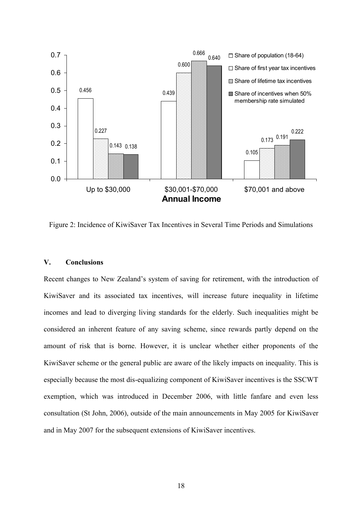

Figure 2: Incidence of KiwiSaver Tax Incentives in Several Time Periods and Simulations

#### **V. Conclusions**

Recent changes to New Zealand's system of saving for retirement, with the introduction of KiwiSaver and its associated tax incentives, will increase future inequality in lifetime incomes and lead to diverging living standards for the elderly. Such inequalities might be considered an inherent feature of any saving scheme, since rewards partly depend on the amount of risk that is borne. However, it is unclear whether either proponents of the KiwiSaver scheme or the general public are aware of the likely impacts on inequality. This is especially because the most dis-equalizing component of KiwiSaver incentives is the SSCWT exemption, which was introduced in December 2006, with little fanfare and even less consultation (St John, 2006), outside of the main announcements in May 2005 for KiwiSaver and in May 2007 for the subsequent extensions of KiwiSaver incentives.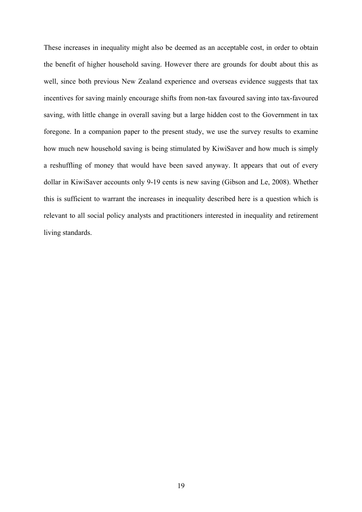These increases in inequality might also be deemed as an acceptable cost, in order to obtain the benefit of higher household saving. However there are grounds for doubt about this as well, since both previous New Zealand experience and overseas evidence suggests that tax incentives for saving mainly encourage shifts from non-tax favoured saving into tax-favoured saving, with little change in overall saving but a large hidden cost to the Government in tax foregone. In a companion paper to the present study, we use the survey results to examine how much new household saving is being stimulated by KiwiSaver and how much is simply a reshuffling of money that would have been saved anyway. It appears that out of every dollar in KiwiSaver accounts only 9-19 cents is new saving (Gibson and Le, 2008). Whether this is sufficient to warrant the increases in inequality described here is a question which is relevant to all social policy analysts and practitioners interested in inequality and retirement living standards.